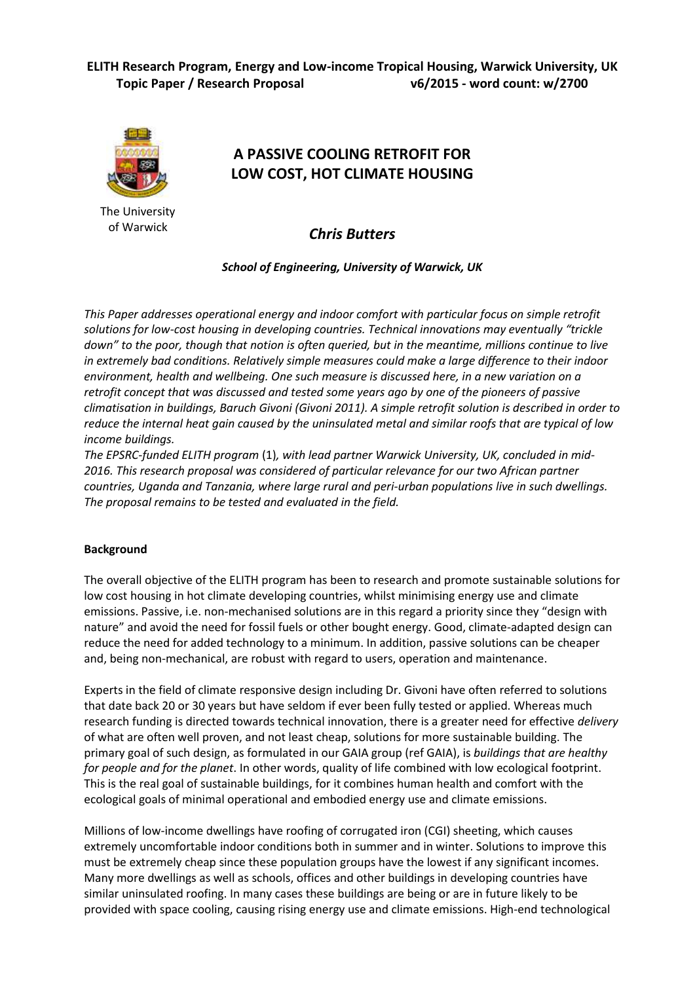

The University of Warwick

# **A PASSIVE COOLING RETROFIT FOR LOW COST, HOT CLIMATE HOUSING**

*Chris Butters*

*School of Engineering, University of Warwick, UK*

*This Paper addresses operational energy and indoor comfort with particular focus on simple retrofit solutions for low-cost housing in developing countries. Technical innovations may eventually "trickle down" to the poor, though that notion is often queried, but in the meantime, millions continue to live in extremely bad conditions. Relatively simple measures could make a large difference to their indoor environment, health and wellbeing. One such measure is discussed here, in a new variation on a retrofit concept that was discussed and tested some years ago by one of the pioneers of passive climatisation in buildings, Baruch Givoni (Givoni 2011). A simple retrofit solution is described in order to reduce the internal heat gain caused by the uninsulated metal and similar roofs that are typical of low income buildings.*

*The EPSRC-funded ELITH program* (1)*, with lead partner Warwick University, UK, concluded in mid-2016. This research proposal was considered of particular relevance for our two African partner countries, Uganda and Tanzania, where large rural and peri-urban populations live in such dwellings. The proposal remains to be tested and evaluated in the field.* 

## **Background**

The overall objective of the ELITH program has been to research and promote sustainable solutions for low cost housing in hot climate developing countries, whilst minimising energy use and climate emissions. Passive, i.e. non-mechanised solutions are in this regard a priority since they "design with nature" and avoid the need for fossil fuels or other bought energy. Good, climate-adapted design can reduce the need for added technology to a minimum. In addition, passive solutions can be cheaper and, being non-mechanical, are robust with regard to users, operation and maintenance.

Experts in the field of climate responsive design including Dr. Givoni have often referred to solutions that date back 20 or 30 years but have seldom if ever been fully tested or applied. Whereas much research funding is directed towards technical innovation, there is a greater need for effective *delivery* of what are often well proven, and not least cheap, solutions for more sustainable building. The primary goal of such design, as formulated in our GAIA group (ref GAIA), is *buildings that are healthy for people and for the planet*. In other words, quality of life combined with low ecological footprint. This is the real goal of sustainable buildings, for it combines human health and comfort with the ecological goals of minimal operational and embodied energy use and climate emissions.

Millions of low-income dwellings have roofing of corrugated iron (CGI) sheeting, which causes extremely uncomfortable indoor conditions both in summer and in winter. Solutions to improve this must be extremely cheap since these population groups have the lowest if any significant incomes. Many more dwellings as well as schools, offices and other buildings in developing countries have similar uninsulated roofing. In many cases these buildings are being or are in future likely to be provided with space cooling, causing rising energy use and climate emissions. High-end technological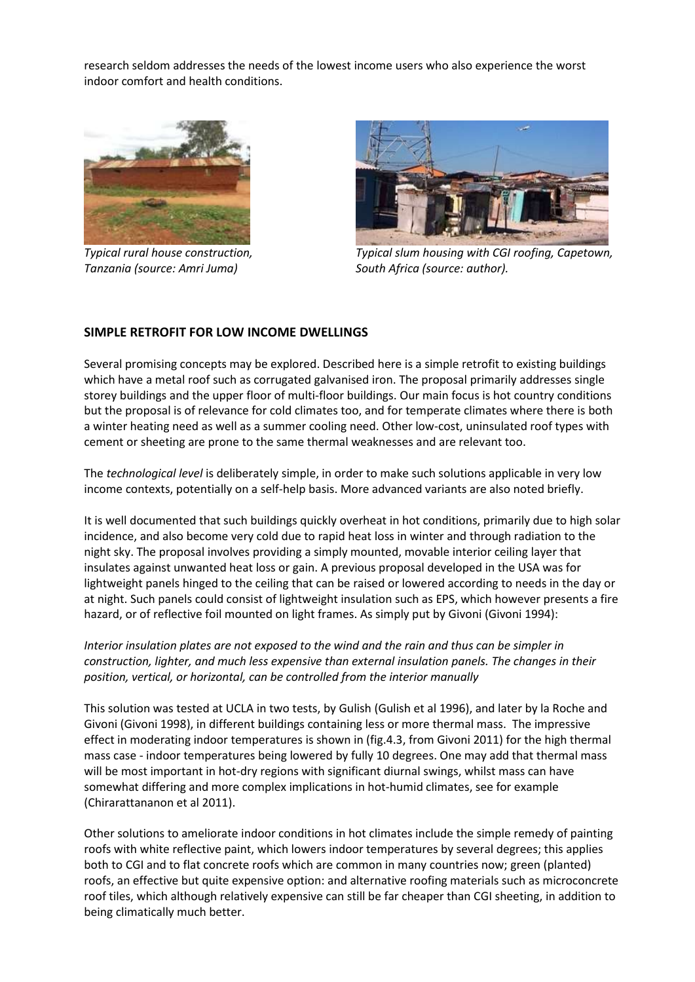research seldom addresses the needs of the lowest income users who also experience the worst indoor comfort and health conditions.



*Typical rural house construction, Tanzania (source: Amri Juma)*



*Typical slum housing with CGI roofing, Capetown, South Africa (source: author).*

## **SIMPLE RETROFIT FOR LOW INCOME DWELLINGS**

Several promising concepts may be explored. Described here is a simple retrofit to existing buildings which have a metal roof such as corrugated galvanised iron. The proposal primarily addresses single storey buildings and the upper floor of multi-floor buildings. Our main focus is hot country conditions but the proposal is of relevance for cold climates too, and for temperate climates where there is both a winter heating need as well as a summer cooling need. Other low-cost, uninsulated roof types with cement or sheeting are prone to the same thermal weaknesses and are relevant too.

The *technological level* is deliberately simple, in order to make such solutions applicable in very low income contexts, potentially on a self-help basis. More advanced variants are also noted briefly.

It is well documented that such buildings quickly overheat in hot conditions, primarily due to high solar incidence, and also become very cold due to rapid heat loss in winter and through radiation to the night sky. The proposal involves providing a simply mounted, movable interior ceiling layer that insulates against unwanted heat loss or gain. A previous proposal developed in the USA was for lightweight panels hinged to the ceiling that can be raised or lowered according to needs in the day or at night. Such panels could consist of lightweight insulation such as EPS, which however presents a fire hazard, or of reflective foil mounted on light frames. As simply put by Givoni (Givoni 1994):

*Interior insulation plates are not exposed to the wind and the rain and thus can be simpler in construction, lighter, and much less expensive than external insulation panels. The changes in their position, vertical, or horizontal, can be controlled from the interior manually*

This solution was tested at UCLA in two tests, by Gulish (Gulish et al 1996), and later by la Roche and Givoni (Givoni 1998), in different buildings containing less or more thermal mass. The impressive effect in moderating indoor temperatures is shown in (fig.4.3, from Givoni 2011) for the high thermal mass case - indoor temperatures being lowered by fully 10 degrees. One may add that thermal mass will be most important in hot-dry regions with significant diurnal swings, whilst mass can have somewhat differing and more complex implications in hot-humid climates, see for example (Chirarattananon et al 2011).

Other solutions to ameliorate indoor conditions in hot climates include the simple remedy of painting roofs with white reflective paint, which lowers indoor temperatures by several degrees; this applies both to CGI and to flat concrete roofs which are common in many countries now; green (planted) roofs, an effective but quite expensive option: and alternative roofing materials such as microconcrete roof tiles, which although relatively expensive can still be far cheaper than CGI sheeting, in addition to being climatically much better.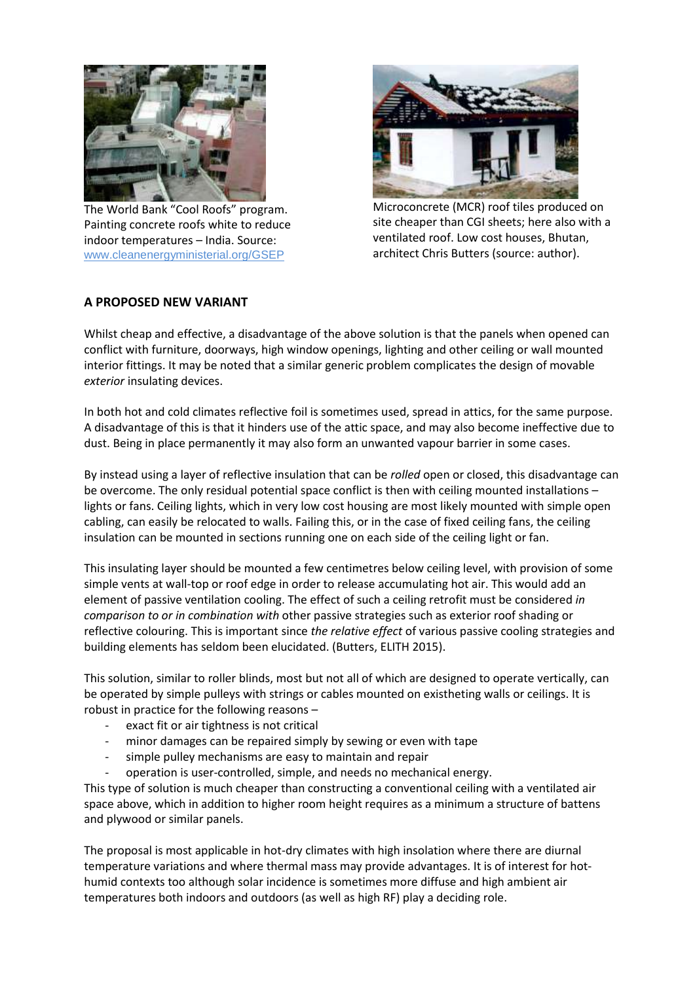

The World Bank "Cool Roofs" program. Painting concrete roofs white to reduce indoor temperatures – India. Source: [www.cleanenergyministerial.org/GSEP](http://www.cleanenergyministerial.org/GSEP)



Microconcrete (MCR) roof tiles produced on site cheaper than CGI sheets; here also with a ventilated roof. Low cost houses, Bhutan, architect Chris Butters (source: author).

## **A PROPOSED NEW VARIANT**

Whilst cheap and effective, a disadvantage of the above solution is that the panels when opened can conflict with furniture, doorways, high window openings, lighting and other ceiling or wall mounted interior fittings. It may be noted that a similar generic problem complicates the design of movable *exterior* insulating devices.

In both hot and cold climates reflective foil is sometimes used, spread in attics, for the same purpose. A disadvantage of this is that it hinders use of the attic space, and may also become ineffective due to dust. Being in place permanently it may also form an unwanted vapour barrier in some cases.

By instead using a layer of reflective insulation that can be *rolled* open or closed, this disadvantage can be overcome. The only residual potential space conflict is then with ceiling mounted installations – lights or fans. Ceiling lights, which in very low cost housing are most likely mounted with simple open cabling, can easily be relocated to walls. Failing this, or in the case of fixed ceiling fans, the ceiling insulation can be mounted in sections running one on each side of the ceiling light or fan.

This insulating layer should be mounted a few centimetres below ceiling level, with provision of some simple vents at wall-top or roof edge in order to release accumulating hot air. This would add an element of passive ventilation cooling. The effect of such a ceiling retrofit must be considered *in comparison to or in combination with* other passive strategies such as exterior roof shading or reflective colouring. This is important since *the relative effect* of various passive cooling strategies and building elements has seldom been elucidated. (Butters, ELITH 2015).

This solution, similar to roller blinds, most but not all of which are designed to operate vertically, can be operated by simple pulleys with strings or cables mounted on existheting walls or ceilings. It is robust in practice for the following reasons –

- exact fit or air tightness is not critical
- minor damages can be repaired simply by sewing or even with tape
- simple pulley mechanisms are easy to maintain and repair
- operation is user-controlled, simple, and needs no mechanical energy.

This type of solution is much cheaper than constructing a conventional ceiling with a ventilated air space above, which in addition to higher room height requires as a minimum a structure of battens and plywood or similar panels.

The proposal is most applicable in hot-dry climates with high insolation where there are diurnal temperature variations and where thermal mass may provide advantages. It is of interest for hothumid contexts too although solar incidence is sometimes more diffuse and high ambient air temperatures both indoors and outdoors (as well as high RF) play a deciding role.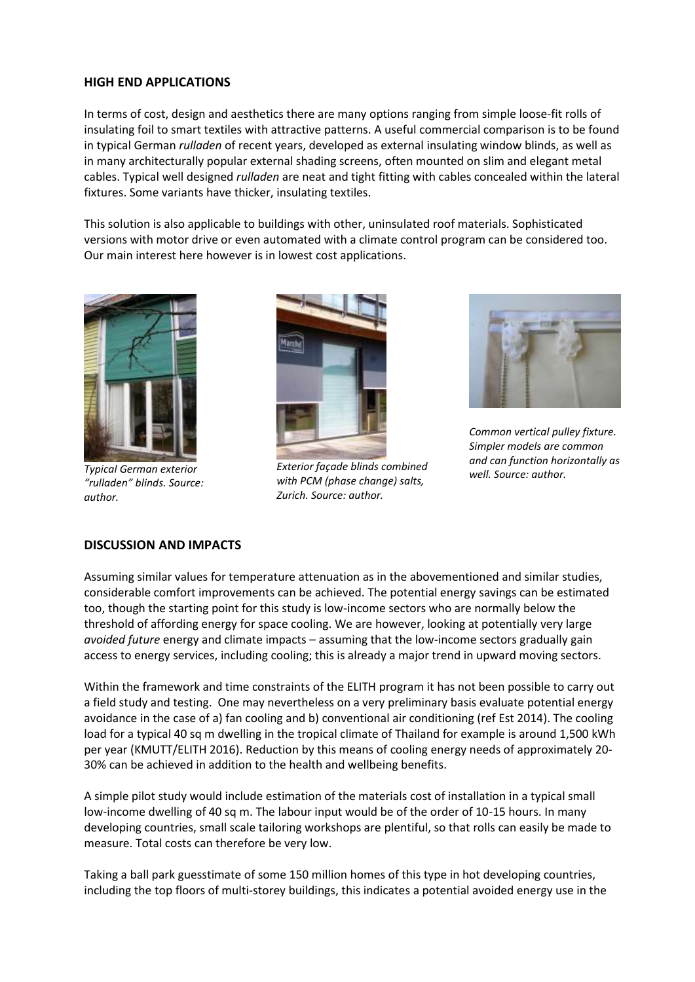#### **HIGH END APPLICATIONS**

In terms of cost, design and aesthetics there are many options ranging from simple loose-fit rolls of insulating foil to smart textiles with attractive patterns. A useful commercial comparison is to be found in typical German *rulladen* of recent years, developed as external insulating window blinds, as well as in many architecturally popular external shading screens, often mounted on slim and elegant metal cables. Typical well designed *rulladen* are neat and tight fitting with cables concealed within the lateral fixtures. Some variants have thicker, insulating textiles.

This solution is also applicable to buildings with other, uninsulated roof materials. Sophisticated versions with motor drive or even automated with a climate control program can be considered too. Our main interest here however is in lowest cost applications.



*Typical German exterior "rulladen" blinds. Source: author.*



*Exterior façade blinds combined with PCM (phase change) salts, Zurich. Source: author.*



*Common vertical pulley fixture. Simpler models are common and can function horizontally as well. Source: author.*

#### **DISCUSSION AND IMPACTS**

Assuming similar values for temperature attenuation as in the abovementioned and similar studies, considerable comfort improvements can be achieved. The potential energy savings can be estimated too, though the starting point for this study is low-income sectors who are normally below the threshold of affording energy for space cooling. We are however, looking at potentially very large *avoided future* energy and climate impacts – assuming that the low-income sectors gradually gain access to energy services, including cooling; this is already a major trend in upward moving sectors.

Within the framework and time constraints of the ELITH program it has not been possible to carry out a field study and testing. One may nevertheless on a very preliminary basis evaluate potential energy avoidance in the case of a) fan cooling and b) conventional air conditioning (ref Est 2014). The cooling load for a typical 40 sq m dwelling in the tropical climate of Thailand for example is around 1,500 kWh per year (KMUTT/ELITH 2016). Reduction by this means of cooling energy needs of approximately 20- 30% can be achieved in addition to the health and wellbeing benefits.

A simple pilot study would include estimation of the materials cost of installation in a typical small low-income dwelling of 40 sq m. The labour input would be of the order of 10-15 hours. In many developing countries, small scale tailoring workshops are plentiful, so that rolls can easily be made to measure. Total costs can therefore be very low.

Taking a ball park guesstimate of some 150 million homes of this type in hot developing countries, including the top floors of multi-storey buildings, this indicates a potential avoided energy use in the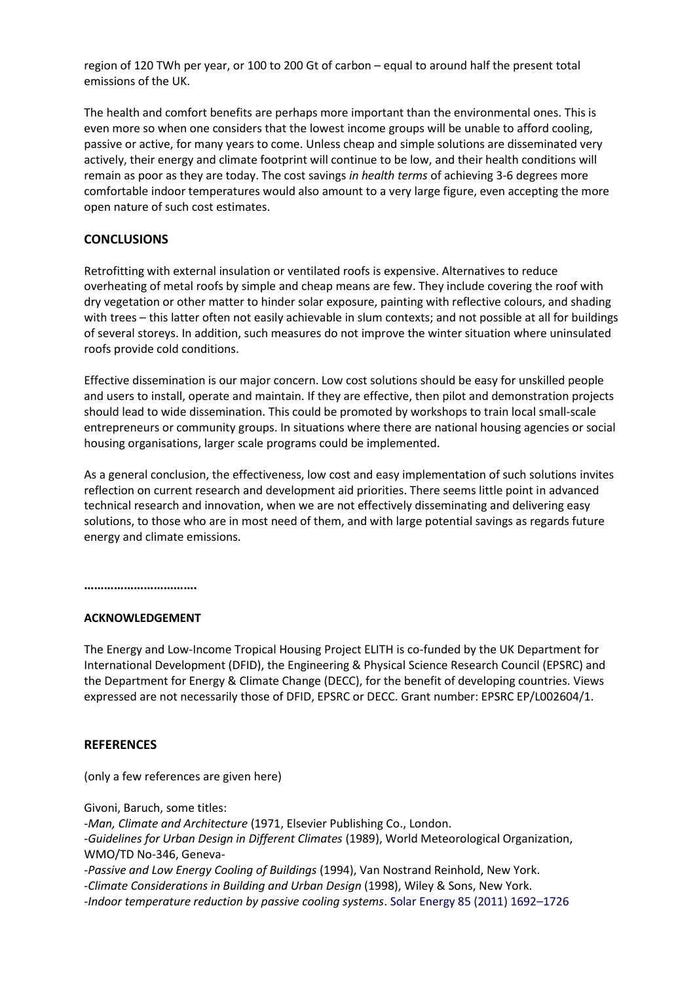region of 120 TWh per year, or 100 to 200 Gt of carbon – equal to around half the present total emissions of the UK.

The health and comfort benefits are perhaps more important than the environmental ones. This is even more so when one considers that the lowest income groups will be unable to afford cooling, passive or active, for many years to come. Unless cheap and simple solutions are disseminated very actively, their energy and climate footprint will continue to be low, and their health conditions will remain as poor as they are today. The cost savings *in health terms* of achieving 3-6 degrees more comfortable indoor temperatures would also amount to a very large figure, even accepting the more open nature of such cost estimates.

### **CONCLUSIONS**

Retrofitting with external insulation or ventilated roofs is expensive. Alternatives to reduce overheating of metal roofs by simple and cheap means are few. They include covering the roof with dry vegetation or other matter to hinder solar exposure, painting with reflective colours, and shading with trees – this latter often not easily achievable in slum contexts; and not possible at all for buildings of several storeys. In addition, such measures do not improve the winter situation where uninsulated roofs provide cold conditions.

Effective dissemination is our major concern. Low cost solutions should be easy for unskilled people and users to install, operate and maintain. If they are effective, then pilot and demonstration projects should lead to wide dissemination. This could be promoted by workshops to train local small-scale entrepreneurs or community groups. In situations where there are national housing agencies or social housing organisations, larger scale programs could be implemented.

As a general conclusion, the effectiveness, low cost and easy implementation of such solutions invites reflection on current research and development aid priorities. There seems little point in advanced technical research and innovation, when we are not effectively disseminating and delivering easy solutions, to those who are in most need of them, and with large potential savings as regards future energy and climate emissions.

**…………………………….**

#### **ACKNOWLEDGEMENT**

The Energy and Low-Income Tropical Housing Project ELITH is co-funded by the UK Department for International Development (DFID), the Engineering & Physical Science Research Council (EPSRC) and the Department for Energy & Climate Change (DECC), for the benefit of developing countries. Views expressed are not necessarily those of DFID, EPSRC or DECC. Grant number: EPSRC EP/L002604/1.

#### **REFERENCES**

(only a few references are given here)

Givoni, Baruch, some titles:

-*Man, Climate and Architecture* (1971, Elsevier Publishing Co., London.

-*Guidelines for Urban Design in Different Climates* (1989), World Meteorological Organization, WMO/TD No-346, Geneva-

-*Passive and Low Energy Cooling of Buildings* (1994), Van Nostrand Reinhold, New York.

-*Climate Considerations in Building and Urban Design* (1998), Wiley & Sons, New York.

-*Indoor temperature reduction by passive cooling systems*. Solar Energy 85 (2011) 1692–1726